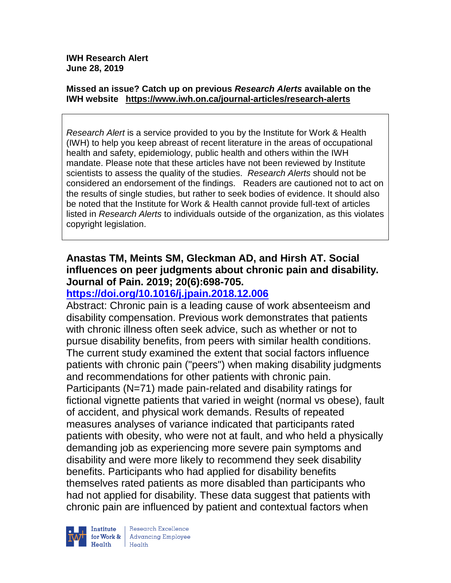**IWH Research Alert June 28, 2019**

#### **Missed an issue? Catch up on previous** *Research Alerts* **available on the [IWH website](http://www.iwh.on.ca/research-alerts) <https://www.iwh.on.ca/journal-articles/research-alerts>**

*Research Alert* is a service provided to you by the Institute for Work & Health (IWH) to help you keep abreast of recent literature in the areas of occupational health and safety, epidemiology, public health and others within the IWH mandate. Please note that these articles have not been reviewed by Institute scientists to assess the quality of the studies. *Research Alerts* should not be considered an endorsement of the findings. Readers are cautioned not to act on the results of single studies, but rather to seek bodies of evidence. It should also be noted that the Institute for Work & Health cannot provide full-text of articles listed in *Research Alerts* to individuals outside of the organization, as this violates copyright legislation.

## **Anastas TM, Meints SM, Gleckman AD, and Hirsh AT. Social influences on peer judgments about chronic pain and disability. Journal of Pain. 2019; 20(6):698-705.**

## **<https://doi.org/10.1016/j.jpain.2018.12.006>**

Abstract: Chronic pain is a leading cause of work absenteeism and disability compensation. Previous work demonstrates that patients with chronic illness often seek advice, such as whether or not to pursue disability benefits, from peers with similar health conditions. The current study examined the extent that social factors influence patients with chronic pain ("peers") when making disability judgments and recommendations for other patients with chronic pain. Participants (N=71) made pain-related and disability ratings for fictional vignette patients that varied in weight (normal vs obese), fault of accident, and physical work demands. Results of repeated measures analyses of variance indicated that participants rated patients with obesity, who were not at fault, and who held a physically demanding job as experiencing more severe pain symptoms and disability and were more likely to recommend they seek disability benefits. Participants who had applied for disability benefits themselves rated patients as more disabled than participants who had not applied for disability. These data suggest that patients with chronic pain are influenced by patient and contextual factors when



Research Excellence **Advancing Employee**  $H_{\text{each}}$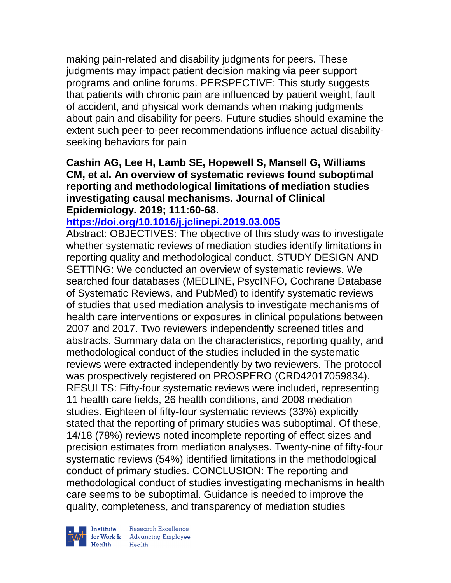making pain-related and disability judgments for peers. These judgments may impact patient decision making via peer support programs and online forums. PERSPECTIVE: This study suggests that patients with chronic pain are influenced by patient weight, fault of accident, and physical work demands when making judgments about pain and disability for peers. Future studies should examine the extent such peer-to-peer recommendations influence actual disabilityseeking behaviors for pain

### **Cashin AG, Lee H, Lamb SE, Hopewell S, Mansell G, Williams CM, et al. An overview of systematic reviews found suboptimal reporting and methodological limitations of mediation studies investigating causal mechanisms. Journal of Clinical Epidemiology. 2019; 111:60-68.**

## **<https://doi.org/10.1016/j.jclinepi.2019.03.005>**

Abstract: OBJECTIVES: The objective of this study was to investigate whether systematic reviews of mediation studies identify limitations in reporting quality and methodological conduct. STUDY DESIGN AND SETTING: We conducted an overview of systematic reviews. We searched four databases (MEDLINE, PsycINFO, Cochrane Database of Systematic Reviews, and PubMed) to identify systematic reviews of studies that used mediation analysis to investigate mechanisms of health care interventions or exposures in clinical populations between 2007 and 2017. Two reviewers independently screened titles and abstracts. Summary data on the characteristics, reporting quality, and methodological conduct of the studies included in the systematic reviews were extracted independently by two reviewers. The protocol was prospectively registered on PROSPERO (CRD42017059834). RESULTS: Fifty-four systematic reviews were included, representing 11 health care fields, 26 health conditions, and 2008 mediation studies. Eighteen of fifty-four systematic reviews (33%) explicitly stated that the reporting of primary studies was suboptimal. Of these, 14/18 (78%) reviews noted incomplete reporting of effect sizes and precision estimates from mediation analyses. Twenty-nine of fifty-four systematic reviews (54%) identified limitations in the methodological conduct of primary studies. CONCLUSION: The reporting and methodological conduct of studies investigating mechanisms in health care seems to be suboptimal. Guidance is needed to improve the quality, completeness, and transparency of mediation studies



| Research Excellence Institute<br>
for Work & Advancing Employee<br>
Health Health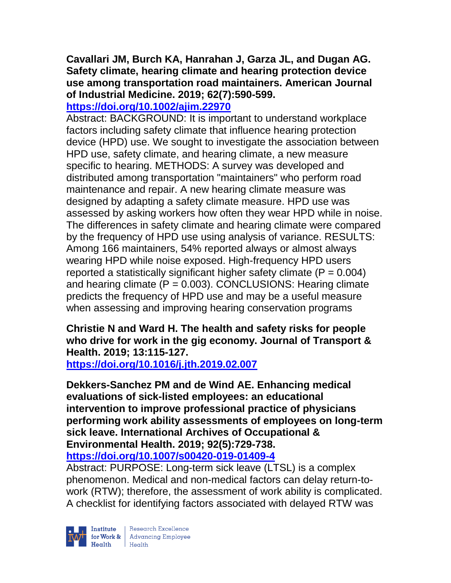## **Cavallari JM, Burch KA, Hanrahan J, Garza JL, and Dugan AG. Safety climate, hearing climate and hearing protection device use among transportation road maintainers. American Journal of Industrial Medicine. 2019; 62(7):590-599.**

## **<https://doi.org/10.1002/ajim.22970>**

Abstract: BACKGROUND: It is important to understand workplace factors including safety climate that influence hearing protection device (HPD) use. We sought to investigate the association between HPD use, safety climate, and hearing climate, a new measure specific to hearing. METHODS: A survey was developed and distributed among transportation "maintainers" who perform road maintenance and repair. A new hearing climate measure was designed by adapting a safety climate measure. HPD use was assessed by asking workers how often they wear HPD while in noise. The differences in safety climate and hearing climate were compared by the frequency of HPD use using analysis of variance. RESULTS: Among 166 maintainers, 54% reported always or almost always wearing HPD while noise exposed. High-frequency HPD users reported a statistically significant higher safety climate  $(P = 0.004)$ and hearing climate  $(P = 0.003)$ . CONCLUSIONS: Hearing climate predicts the frequency of HPD use and may be a useful measure when assessing and improving hearing conservation programs

## **Christie N and Ward H. The health and safety risks for people who drive for work in the gig economy. Journal of Transport & Health. 2019; 13:115-127.**

**<https://doi.org/10.1016/j.jth.2019.02.007>** 

**Dekkers-Sanchez PM and de Wind AE. Enhancing medical evaluations of sick-listed employees: an educational intervention to improve professional practice of physicians performing work ability assessments of employees on long-term sick leave. International Archives of Occupational & Environmental Health. 2019; 92(5):729-738. <https://doi.org/10.1007/s00420-019-01409-4>** 

Abstract: PURPOSE: Long-term sick leave (LTSL) is a complex phenomenon. Medical and non-medical factors can delay return-towork (RTW); therefore, the assessment of work ability is complicated. A checklist for identifying factors associated with delayed RTW was

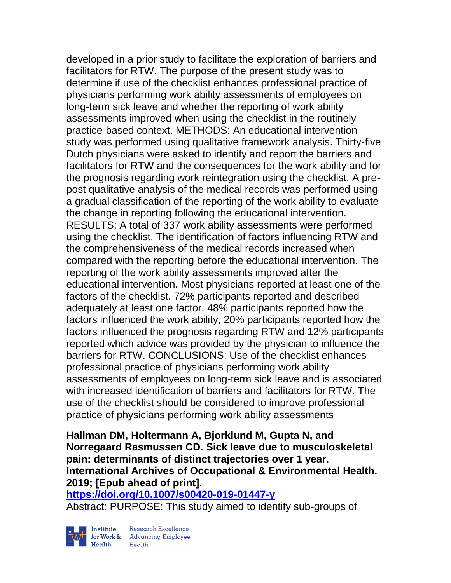developed in a prior study to facilitate the exploration of barriers and facilitators for RTW. The purpose of the present study was to determine if use of the checklist enhances professional practice of physicians performing work ability assessments of employees on long-term sick leave and whether the reporting of work ability assessments improved when using the checklist in the routinely practice-based context. METHODS: An educational intervention study was performed using qualitative framework analysis. Thirty-five Dutch physicians were asked to identify and report the barriers and facilitators for RTW and the consequences for the work ability and for the prognosis regarding work reintegration using the checklist. A prepost qualitative analysis of the medical records was performed using a gradual classification of the reporting of the work ability to evaluate the change in reporting following the educational intervention. RESULTS: A total of 337 work ability assessments were performed using the checklist. The identification of factors influencing RTW and the comprehensiveness of the medical records increased when compared with the reporting before the educational intervention. The reporting of the work ability assessments improved after the educational intervention. Most physicians reported at least one of the factors of the checklist. 72% participants reported and described adequately at least one factor. 48% participants reported how the factors influenced the work ability, 20% participants reported how the factors influenced the prognosis regarding RTW and 12% participants reported which advice was provided by the physician to influence the barriers for RTW. CONCLUSIONS: Use of the checklist enhances professional practice of physicians performing work ability assessments of employees on long-term sick leave and is associated with increased identification of barriers and facilitators for RTW. The use of the checklist should be considered to improve professional practice of physicians performing work ability assessments

**Hallman DM, Holtermann A, Bjorklund M, Gupta N, and Norregaard Rasmussen CD. Sick leave due to musculoskeletal pain: determinants of distinct trajectories over 1 year. International Archives of Occupational & Environmental Health. 2019; [Epub ahead of print].**

**<https://doi.org/10.1007/s00420-019-01447-y>** 

Abstract: PURPOSE: This study aimed to identify sub-groups of



 $\begin{tabular}{|l|} Institute & Research Excellence \\ \hline for Work & Advancing Employee \\ Health & Health \\ \end{tabular}$ | Research Excellence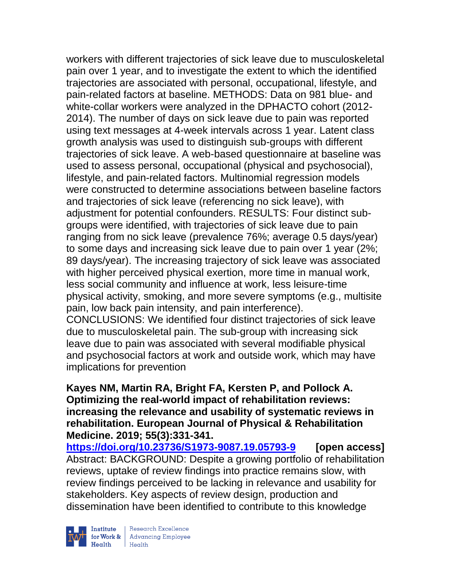workers with different trajectories of sick leave due to musculoskeletal pain over 1 year, and to investigate the extent to which the identified trajectories are associated with personal, occupational, lifestyle, and pain-related factors at baseline. METHODS: Data on 981 blue- and white-collar workers were analyzed in the DPHACTO cohort (2012- 2014). The number of days on sick leave due to pain was reported using text messages at 4-week intervals across 1 year. Latent class growth analysis was used to distinguish sub-groups with different trajectories of sick leave. A web-based questionnaire at baseline was used to assess personal, occupational (physical and psychosocial), lifestyle, and pain-related factors. Multinomial regression models were constructed to determine associations between baseline factors and trajectories of sick leave (referencing no sick leave), with adjustment for potential confounders. RESULTS: Four distinct subgroups were identified, with trajectories of sick leave due to pain ranging from no sick leave (prevalence 76%; average 0.5 days/year) to some days and increasing sick leave due to pain over 1 year (2%; 89 days/year). The increasing trajectory of sick leave was associated with higher perceived physical exertion, more time in manual work, less social community and influence at work, less leisure-time physical activity, smoking, and more severe symptoms (e.g., multisite pain, low back pain intensity, and pain interference).

CONCLUSIONS: We identified four distinct trajectories of sick leave due to musculoskeletal pain. The sub-group with increasing sick leave due to pain was associated with several modifiable physical and psychosocial factors at work and outside work, which may have implications for prevention

### **Kayes NM, Martin RA, Bright FA, Kersten P, and Pollock A. Optimizing the real-world impact of rehabilitation reviews: increasing the relevance and usability of systematic reviews in rehabilitation. European Journal of Physical & Rehabilitation Medicine. 2019; 55(3):331-341.**

**<https://doi.org/10.23736/S1973-9087.19.05793-9>[open access]** Abstract: BACKGROUND: Despite a growing portfolio of rehabilitation reviews, uptake of review findings into practice remains slow, with review findings perceived to be lacking in relevance and usability for stakeholders. Key aspects of review design, production and dissemination have been identified to contribute to this knowledge



| Research Excellence Finantium Research Excellence<br>
Finantium Research Employee<br>
Realth Health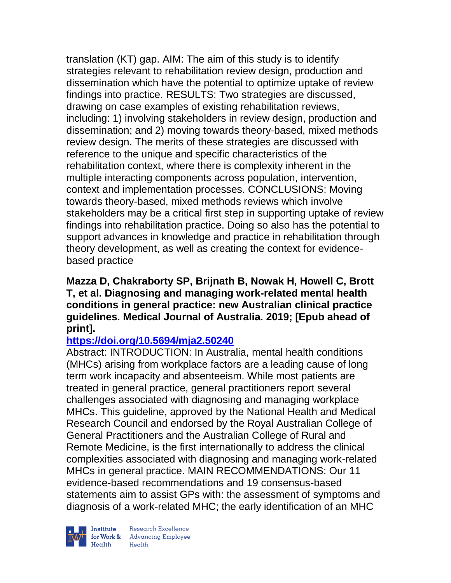translation (KT) gap. AIM: The aim of this study is to identify strategies relevant to rehabilitation review design, production and dissemination which have the potential to optimize uptake of review findings into practice. RESULTS: Two strategies are discussed, drawing on case examples of existing rehabilitation reviews, including: 1) involving stakeholders in review design, production and dissemination; and 2) moving towards theory-based, mixed methods review design. The merits of these strategies are discussed with reference to the unique and specific characteristics of the rehabilitation context, where there is complexity inherent in the multiple interacting components across population, intervention, context and implementation processes. CONCLUSIONS: Moving towards theory-based, mixed methods reviews which involve stakeholders may be a critical first step in supporting uptake of review findings into rehabilitation practice. Doing so also has the potential to support advances in knowledge and practice in rehabilitation through theory development, as well as creating the context for evidencebased practice

**Mazza D, Chakraborty SP, Brijnath B, Nowak H, Howell C, Brott T, et al. Diagnosing and managing work-related mental health conditions in general practice: new Australian clinical practice guidelines. Medical Journal of Australia. 2019; [Epub ahead of print].**

## **<https://doi.org/10.5694/mja2.50240>**

Abstract: INTRODUCTION: In Australia, mental health conditions (MHCs) arising from workplace factors are a leading cause of long term work incapacity and absenteeism. While most patients are treated in general practice, general practitioners report several challenges associated with diagnosing and managing workplace MHCs. This guideline, approved by the National Health and Medical Research Council and endorsed by the Royal Australian College of General Practitioners and the Australian College of Rural and Remote Medicine, is the first internationally to address the clinical complexities associated with diagnosing and managing work-related MHCs in general practice. MAIN RECOMMENDATIONS: Our 11 evidence-based recommendations and 19 consensus-based statements aim to assist GPs with: the assessment of symptoms and diagnosis of a work-related MHC; the early identification of an MHC



Institute Research Excellence<br>
for Work & Advancing Employee<br>
Health Health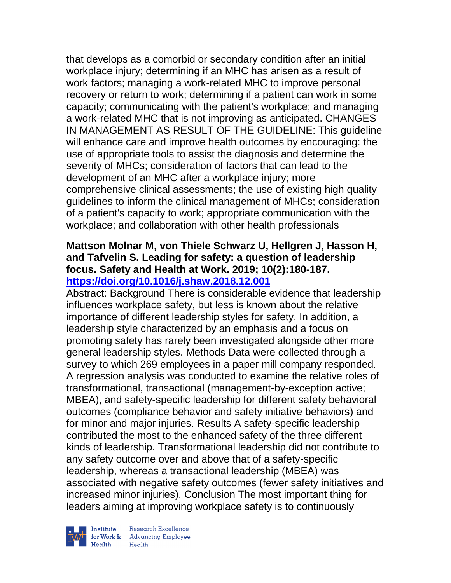that develops as a comorbid or secondary condition after an initial workplace injury; determining if an MHC has arisen as a result of work factors; managing a work-related MHC to improve personal recovery or return to work; determining if a patient can work in some capacity; communicating with the patient's workplace; and managing a work-related MHC that is not improving as anticipated. CHANGES IN MANAGEMENT AS RESULT OF THE GUIDELINE: This guideline will enhance care and improve health outcomes by encouraging: the use of appropriate tools to assist the diagnosis and determine the severity of MHCs; consideration of factors that can lead to the development of an MHC after a workplace injury; more comprehensive clinical assessments; the use of existing high quality guidelines to inform the clinical management of MHCs; consideration of a patient's capacity to work; appropriate communication with the workplace; and collaboration with other health professionals

#### **Mattson Molnar M, von Thiele Schwarz U, Hellgren J, Hasson H, and Tafvelin S. Leading for safety: a question of leadership focus. Safety and Health at Work. 2019; 10(2):180-187. <https://doi.org/10.1016/j.shaw.2018.12.001>**

Abstract: Background There is considerable evidence that leadership influences workplace safety, but less is known about the relative importance of different leadership styles for safety. In addition, a leadership style characterized by an emphasis and a focus on promoting safety has rarely been investigated alongside other more general leadership styles. Methods Data were collected through a survey to which 269 employees in a paper mill company responded. A regression analysis was conducted to examine the relative roles of transformational, transactional (management-by-exception active; MBEA), and safety-specific leadership for different safety behavioral outcomes (compliance behavior and safety initiative behaviors) and for minor and major injuries. Results A safety-specific leadership contributed the most to the enhanced safety of the three different kinds of leadership. Transformational leadership did not contribute to any safety outcome over and above that of a safety-specific leadership, whereas a transactional leadership (MBEA) was associated with negative safety outcomes (fewer safety initiatives and increased minor injuries). Conclusion The most important thing for leaders aiming at improving workplace safety is to continuously



 $\begin{tabular}{|l|} Institute & Research Excellence \\ \hline for Work & Advancing Employee \\ Health & Health \\ \end{tabular}$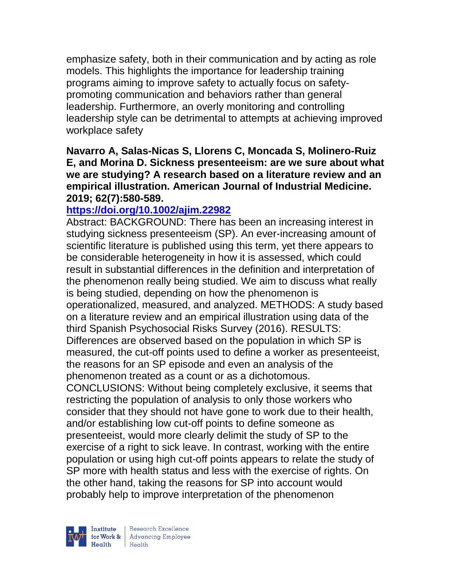emphasize safety, both in their communication and by acting as role models. This highlights the importance for leadership training programs aiming to improve safety to actually focus on safetypromoting communication and behaviors rather than general leadership. Furthermore, an overly monitoring and controlling leadership style can be detrimental to attempts at achieving improved workplace safety

**Navarro A, Salas-Nicas S, Llorens C, Moncada S, Molinero-Ruiz E, and Morina D. Sickness presenteeism: are we sure about what we are studying? A research based on a literature review and an empirical illustration. American Journal of Industrial Medicine. 2019; 62(7):580-589.**

### **<https://doi.org/10.1002/ajim.22982>**

Abstract: BACKGROUND: There has been an increasing interest in studying sickness presenteeism (SP). An ever-increasing amount of scientific literature is published using this term, yet there appears to be considerable heterogeneity in how it is assessed, which could result in substantial differences in the definition and interpretation of the phenomenon really being studied. We aim to discuss what really is being studied, depending on how the phenomenon is operationalized, measured, and analyzed. METHODS: A study based on a literature review and an empirical illustration using data of the third Spanish Psychosocial Risks Survey (2016). RESULTS: Differences are observed based on the population in which SP is measured, the cut-off points used to define a worker as presenteeist, the reasons for an SP episode and even an analysis of the phenomenon treated as a count or as a dichotomous. CONCLUSIONS: Without being completely exclusive, it seems that restricting the population of analysis to only those workers who consider that they should not have gone to work due to their health, and/or establishing low cut-off points to define someone as presenteeist, would more clearly delimit the study of SP to the exercise of a right to sick leave. In contrast, working with the entire population or using high cut-off points appears to relate the study of SP more with health status and less with the exercise of rights. On the other hand, taking the reasons for SP into account would probably help to improve interpretation of the phenomenon



| Research Excellence for Work & Advancing Employee<br>Health Health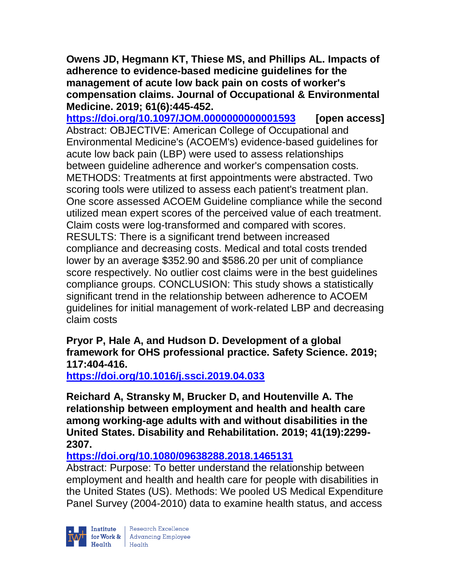**Owens JD, Hegmann KT, Thiese MS, and Phillips AL. Impacts of adherence to evidence-based medicine guidelines for the management of acute low back pain on costs of worker's compensation claims. Journal of Occupational & Environmental Medicine. 2019; 61(6):445-452.** 

**<https://doi.org/10.1097/JOM.0000000000001593>[open access]** Abstract: OBJECTIVE: American College of Occupational and Environmental Medicine's (ACOEM's) evidence-based guidelines for acute low back pain (LBP) were used to assess relationships between guideline adherence and worker's compensation costs. METHODS: Treatments at first appointments were abstracted. Two scoring tools were utilized to assess each patient's treatment plan. One score assessed ACOEM Guideline compliance while the second utilized mean expert scores of the perceived value of each treatment. Claim costs were log-transformed and compared with scores. RESULTS: There is a significant trend between increased compliance and decreasing costs. Medical and total costs trended lower by an average \$352.90 and \$586.20 per unit of compliance score respectively. No outlier cost claims were in the best guidelines compliance groups. CONCLUSION: This study shows a statistically significant trend in the relationship between adherence to ACOEM guidelines for initial management of work-related LBP and decreasing claim costs

**Pryor P, Hale A, and Hudson D. Development of a global framework for OHS professional practice. Safety Science. 2019; 117:404-416.** 

**<https://doi.org/10.1016/j.ssci.2019.04.033>** 

**Reichard A, Stransky M, Brucker D, and Houtenville A. The relationship between employment and health and health care among working-age adults with and without disabilities in the United States. Disability and Rehabilitation. 2019; 41(19):2299- 2307.** 

**<https://doi.org/10.1080/09638288.2018.1465131>** 

Abstract: Purpose: To better understand the relationship between employment and health and health care for people with disabilities in the United States (US). Methods: We pooled US Medical Expenditure Panel Survey (2004-2010) data to examine health status, and access

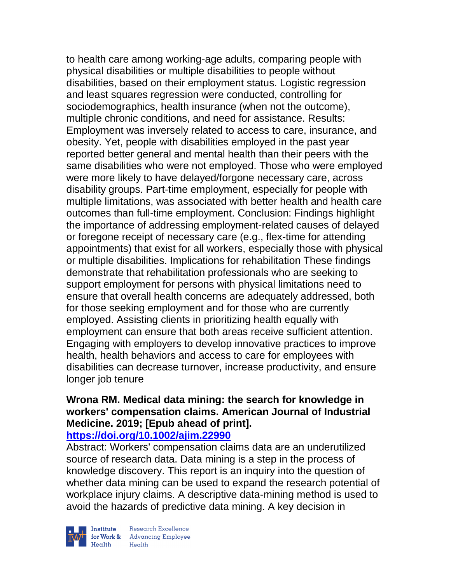to health care among working-age adults, comparing people with physical disabilities or multiple disabilities to people without disabilities, based on their employment status. Logistic regression and least squares regression were conducted, controlling for sociodemographics, health insurance (when not the outcome), multiple chronic conditions, and need for assistance. Results: Employment was inversely related to access to care, insurance, and obesity. Yet, people with disabilities employed in the past year reported better general and mental health than their peers with the same disabilities who were not employed. Those who were employed were more likely to have delayed/forgone necessary care, across disability groups. Part-time employment, especially for people with multiple limitations, was associated with better health and health care outcomes than full-time employment. Conclusion: Findings highlight the importance of addressing employment-related causes of delayed or foregone receipt of necessary care (e.g., flex-time for attending appointments) that exist for all workers, especially those with physical or multiple disabilities. Implications for rehabilitation These findings demonstrate that rehabilitation professionals who are seeking to support employment for persons with physical limitations need to ensure that overall health concerns are adequately addressed, both for those seeking employment and for those who are currently employed. Assisting clients in prioritizing health equally with employment can ensure that both areas receive sufficient attention. Engaging with employers to develop innovative practices to improve health, health behaviors and access to care for employees with disabilities can decrease turnover, increase productivity, and ensure longer job tenure

# **Wrona RM. Medical data mining: the search for knowledge in workers' compensation claims. American Journal of Industrial Medicine. 2019; [Epub ahead of print].**

**<https://doi.org/10.1002/ajim.22990>** 

Abstract: Workers' compensation claims data are an underutilized source of research data. Data mining is a step in the process of knowledge discovery. This report is an inquiry into the question of whether data mining can be used to expand the research potential of workplace injury claims. A descriptive data-mining method is used to avoid the hazards of predictive data mining. A key decision in



| Research Excellence for Work & Advancing Employee<br>Health Health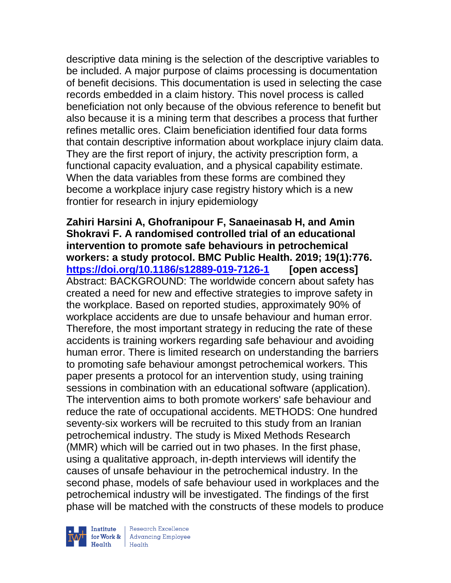descriptive data mining is the selection of the descriptive variables to be included. A major purpose of claims processing is documentation of benefit decisions. This documentation is used in selecting the case records embedded in a claim history. This novel process is called beneficiation not only because of the obvious reference to benefit but also because it is a mining term that describes a process that further refines metallic ores. Claim beneficiation identified four data forms that contain descriptive information about workplace injury claim data. They are the first report of injury, the activity prescription form, a functional capacity evaluation, and a physical capability estimate. When the data variables from these forms are combined they become a workplace injury case registry history which is a new frontier for research in injury epidemiology

**Zahiri Harsini A, Ghofranipour F, Sanaeinasab H, and Amin Shokravi F. A randomised controlled trial of an educational intervention to promote safe behaviours in petrochemical workers: a study protocol. BMC Public Health. 2019; 19(1):776. <https://doi.org/10.1186/s12889-019-7126-1>[open access]** Abstract: BACKGROUND: The worldwide concern about safety has created a need for new and effective strategies to improve safety in the workplace. Based on reported studies, approximately 90% of workplace accidents are due to unsafe behaviour and human error. Therefore, the most important strategy in reducing the rate of these accidents is training workers regarding safe behaviour and avoiding human error. There is limited research on understanding the barriers to promoting safe behaviour amongst petrochemical workers. This paper presents a protocol for an intervention study, using training sessions in combination with an educational software (application). The intervention aims to both promote workers' safe behaviour and reduce the rate of occupational accidents. METHODS: One hundred seventy-six workers will be recruited to this study from an Iranian petrochemical industry. The study is Mixed Methods Research (MMR) which will be carried out in two phases. In the first phase, using a qualitative approach, in-depth interviews will identify the causes of unsafe behaviour in the petrochemical industry. In the second phase, models of safe behaviour used in workplaces and the petrochemical industry will be investigated. The findings of the first phase will be matched with the constructs of these models to produce